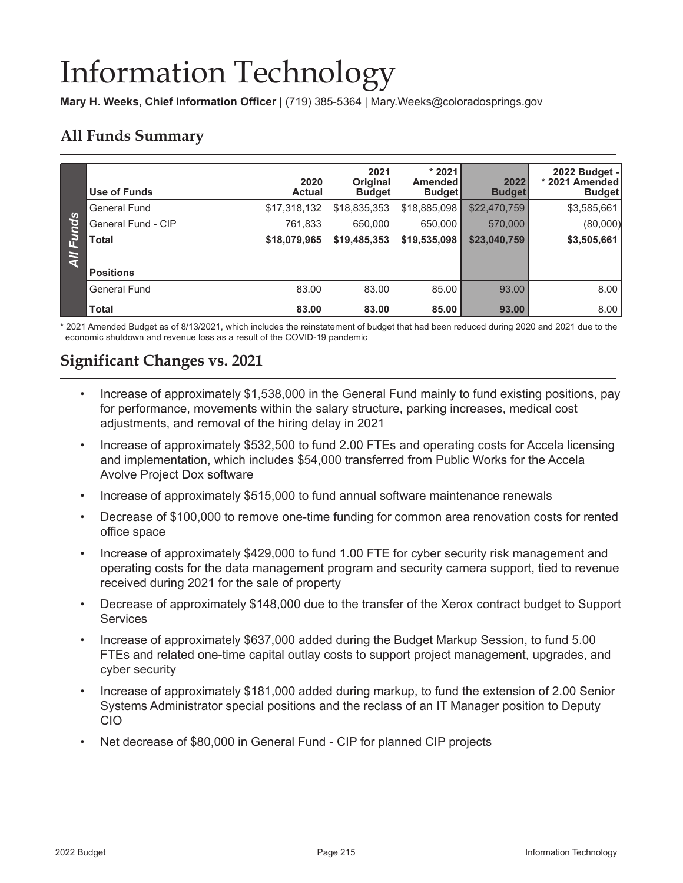### **Information Technology**

Mary H. Weeks, Chief Information Officer | (719) 385-5364 | Mary. Weeks@coloradosprings.gov

#### **All Funds Summary**

|                | Use of Funds        | 2020<br><b>Actual</b> | 2021<br><b>Original</b><br><b>Budget</b> | $*2021$<br><b>Amended</b><br><b>Budget</b> | 2022<br><b>Budget</b> | 2022 Budget -<br>* 2021 Amended<br><b>Budget</b> |
|----------------|---------------------|-----------------------|------------------------------------------|--------------------------------------------|-----------------------|--------------------------------------------------|
|                | <b>General Fund</b> | \$17,318,132          | \$18,835,353                             | \$18,885,098                               | \$22,470,759          | \$3,585,661                                      |
|                | General Fund - CIP  | 761,833               | 650,000                                  | 650,000                                    | 570,000               | (80,000)                                         |
| <b>Funds</b>   | <b>Total</b>        | \$18,079,965          | \$19,485,353                             | \$19,535,098                               | \$23,040,759          | \$3,505,661                                      |
| $\overline{4}$ | <b>Positions</b>    |                       |                                          |                                            |                       |                                                  |
|                | <b>General Fund</b> | 83.00                 | 83.00                                    | 85.00                                      | 93.00                 | 8.00                                             |
|                | <b>Total</b>        | 83.00                 | 83.00                                    | 85.00                                      | 93.00                 | 8.00                                             |

\* 2021 Amended Budget as of 8/13/2021, which includes the reinstatement of budget that had been reduced during 2020 and 2021 due to the economic shutdown and revenue loss as a result of the COVID-19 pandemic

#### **Significant Changes vs. 2021**

- Increase of approximately \$1,538,000 in the General Fund mainly to fund existing positions, pay for performance, movements within the salary structure, parking increases, medical cost adjustments, and removal of the hiring delay in 2021
- Increase of approximately \$532,500 to fund 2.00 FTEs and operating costs for Accela licensing and implementation, which includes \$54,000 transferred from Public Works for the Accela **Avolve Project Dox software**
- Increase of approximately \$515,000 to fund annual software maintenance renewals
- Decrease of \$100,000 to remove one-time funding for common area renovation costs for rented office space
- Increase of approximately \$429,000 to fund 1.00 FTE for cyber security risk management and operating costs for the data management program and security camera support, tied to revenue received during 2021 for the sale of property
- Decrease of approximately \$148,000 due to the transfer of the Xerox contract budget to Support Services
- Increase of approximately \$637,000 added during the Budget Markup Session, to fund 5.00 FTEs and related one-time capital outlay costs to support project management, upgrades, and cyber security
- Increase of approximately \$181,000 added during markup, to fund the extension of 2.00 Senior Systems Administrator special positions and the reclass of an IT Manager position to Deputy **CIO**
- Net decrease of \$80,000 in General Fund CIP for planned CIP projects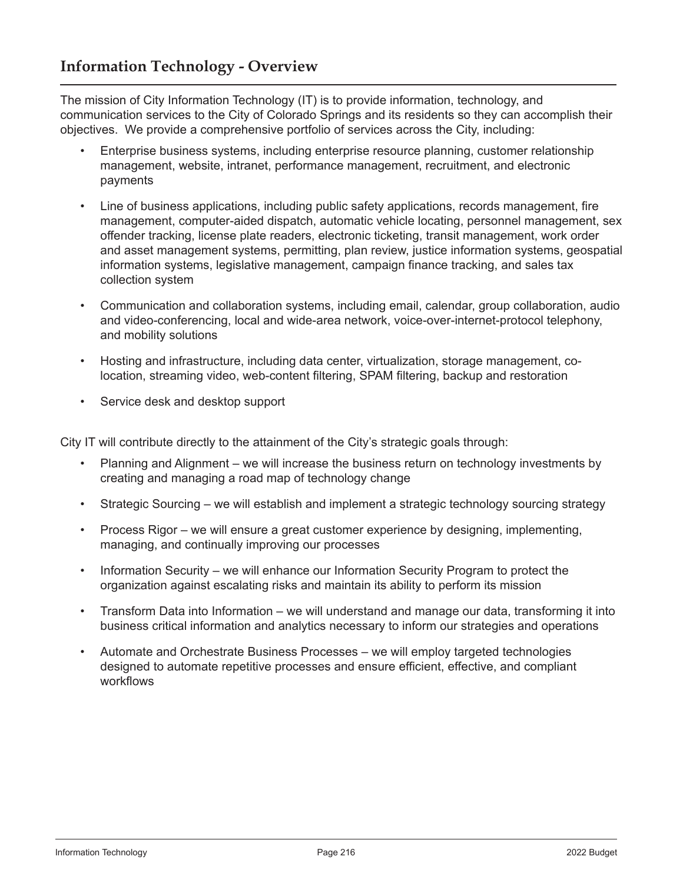The mission of City Information Technology (IT) is to provide information, technology, and communication services to the City of Colorado Springs and its residents so they can accomplish their objectives. We provide a comprehensive portfolio of services across the City, including:

- Enterprise business systems, including enterprise resource planning, customer relationship management, website, intranet, performance management, recruitment, and electronic payments
- Line of business applications, including public safety applications, records management, fire management, computer-aided dispatch, automatic vehicle locating, personnel management, sex offender tracking, license plate readers, electronic ticketing, transit management, work order and asset management systems, permitting, plan review, justice information systems, geospatial information systems, legislative management, campaign finance tracking, and sales tax collection system
- Communication and collaboration systems, including email, calendar, group collaboration, audio  $\bullet$ and video-conferencing, local and wide-area network, voice-over-internet-protocol telephony, and mobility solutions
- Hosting and infrastructure, including data center, virtualization, storage management, co- $\bullet$ location, streaming video, web-content filtering, SPAM filtering, backup and restoration
- $\bullet$ Service desk and desktop support

City IT will contribute directly to the attainment of the City's strategic goals through:

- Planning and Alignment we will increase the business return on technology investments by creating and managing a road map of technology change
- Strategic Sourcing we will establish and implement a strategic technology sourcing strategy  $\bullet$
- Process Rigor we will ensure a great customer experience by designing, implementing, managing, and continually improving our processes
- Information Security we will enhance our Information Security Program to protect the organization against escalating risks and maintain its ability to perform its mission
- Transform Data into Information we will understand and manage our data, transforming it into business critical information and analytics necessary to inform our strategies and operations
- Automate and Orchestrate Business Processes we will employ targeted technologies designed to automate repetitive processes and ensure efficient, effective, and compliant workflows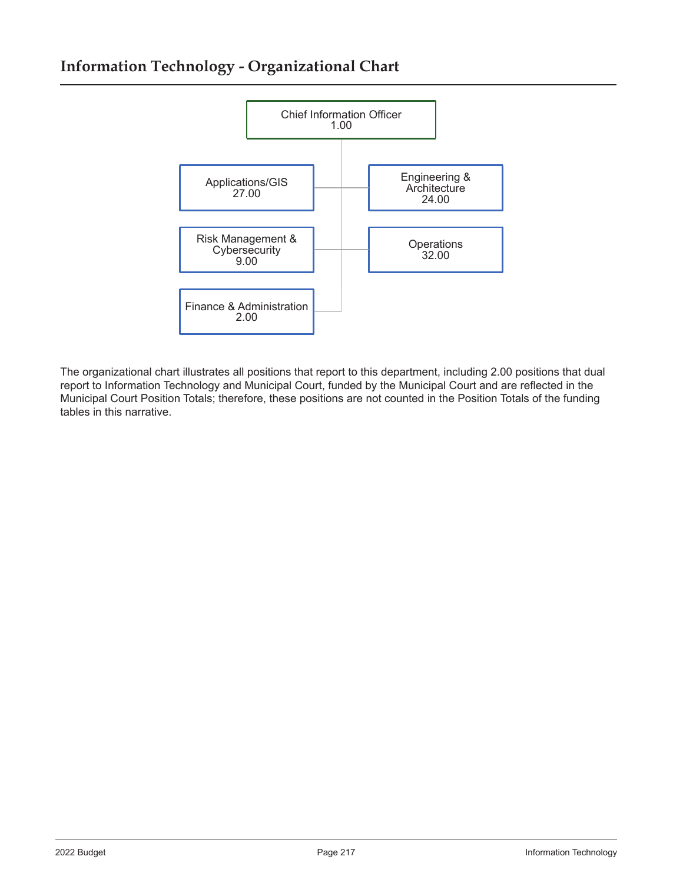#### **Information Technology - Organizational Chart**



The organizational chart illustrates all positions that report to this department, including 2.00 positions that dual report to Information Technology and Municipal Court, funded by the Municipal Court and are reflected in the Municipal Court Position Totals; therefore, these positions are not counted in the Position Totals of the funding tables in this narrative.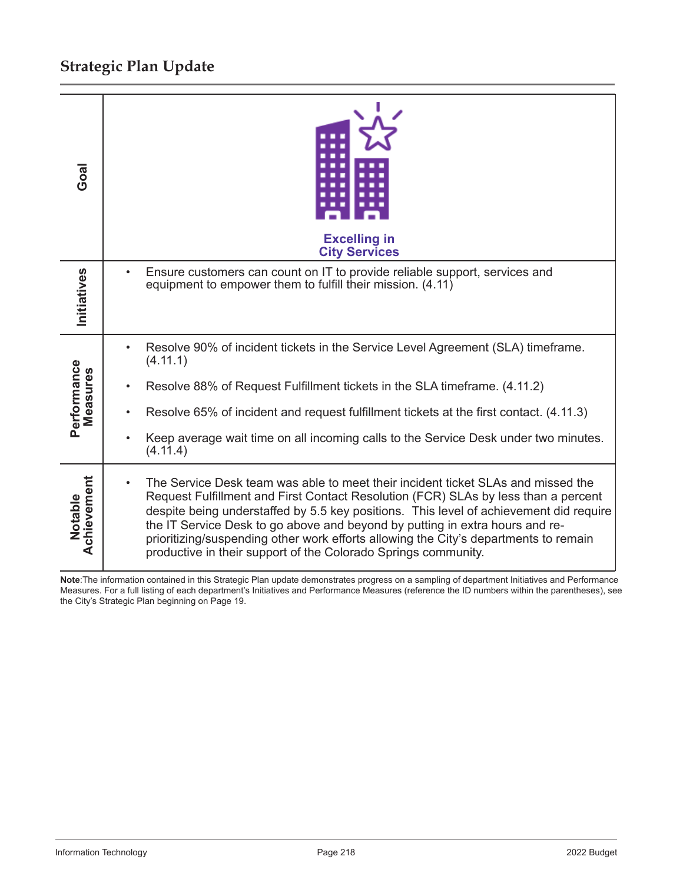#### Strategic Plan Update

| Goal                    | <b>Excelling in</b><br><b>City Services</b>                                                                                                                                                                                                                                                                                                                                                                                                                                                                |
|-------------------------|------------------------------------------------------------------------------------------------------------------------------------------------------------------------------------------------------------------------------------------------------------------------------------------------------------------------------------------------------------------------------------------------------------------------------------------------------------------------------------------------------------|
|                         | Ensure customers can count on IT to provide reliable support, services and                                                                                                                                                                                                                                                                                                                                                                                                                                 |
| Initiatives             | equipment to empower them to fulfill their mission. (4.11)                                                                                                                                                                                                                                                                                                                                                                                                                                                 |
|                         | Resolve 90% of incident tickets in the Service Level Agreement (SLA) timeframe.<br>(4.11.1)                                                                                                                                                                                                                                                                                                                                                                                                                |
|                         | Resolve 88% of Request Fulfillment tickets in the SLA timeframe. (4.11.2)                                                                                                                                                                                                                                                                                                                                                                                                                                  |
| Performance<br>Measures | Resolve 65% of incident and request fulfillment tickets at the first contact. (4.11.3)                                                                                                                                                                                                                                                                                                                                                                                                                     |
|                         | Keep average wait time on all incoming calls to the Service Desk under two minutes.<br>(4.11.4)                                                                                                                                                                                                                                                                                                                                                                                                            |
| Notable<br>Achievement  | The Service Desk team was able to meet their incident ticket SLAs and missed the<br>Request Fulfillment and First Contact Resolution (FCR) SLAs by less than a percent<br>despite being understaffed by 5.5 key positions. This level of achievement did require<br>the IT Service Desk to go above and beyond by putting in extra hours and re-<br>prioritizing/suspending other work efforts allowing the City's departments to remain<br>productive in their support of the Colorado Springs community. |

Note: The information contained in this Strategic Plan update demonstrates progress on a sampling of department Initiatives and Performance<br>Measures. For a full listing of each department's Initiatives and Performance Meas the City's Strategic Plan beginning on Page 19.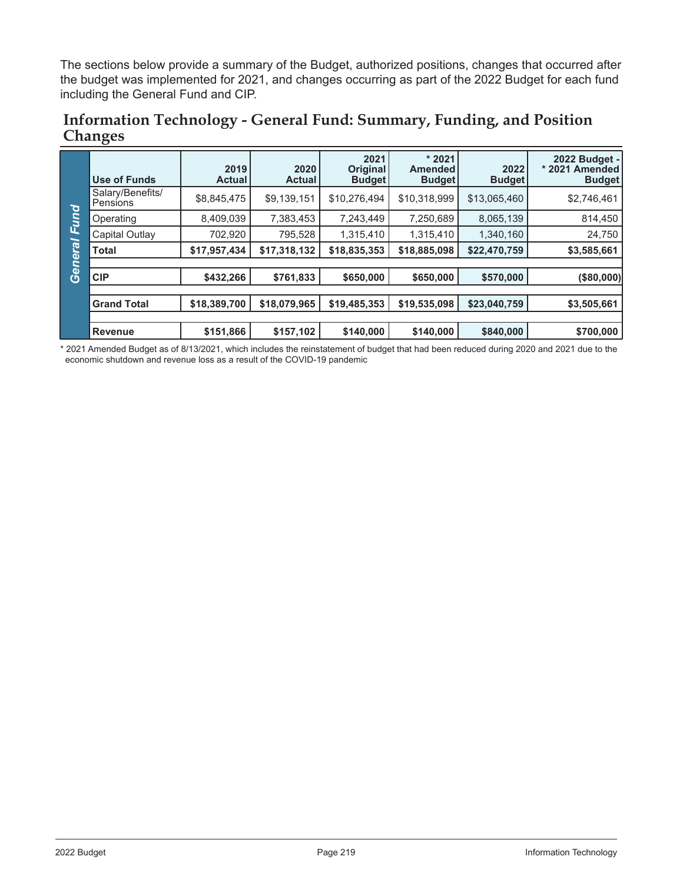The sections below provide a summary of the Budget, authorized positions, changes that occurred after the budget was implemented for 2021, and changes occurring as part of the 2022 Budget for each fund including the General Fund and CIP.

#### Information Technology - General Fund: Summary, Funding, and Position Changes

|             | <b>Use of Funds</b>          | 2019<br><b>Actual</b> | 2020<br><b>Actual</b> | 2021<br>Original<br><b>Budget</b> | $*2021$<br><b>Amended</b><br><b>Budget</b> | 2022<br><b>Budget</b> | 2022 Budget -<br>* 2021 Amended<br><b>Budget</b> |
|-------------|------------------------------|-----------------------|-----------------------|-----------------------------------|--------------------------------------------|-----------------------|--------------------------------------------------|
|             | Salary/Benefits/<br>Pensions | \$8,845,475           | \$9,139,151           | \$10,276,494                      | \$10,318,999                               | \$13,065,460          | \$2,746,461                                      |
| <b>Fund</b> | Operating                    | 8,409,039             | 7,383,453             | 7,243,449                         | 7,250,689                                  | 8,065,139             | 814,450                                          |
|             | Capital Outlay               | 702,920               | 795,528               | 1,315,410                         | 1,315,410                                  | 1,340,160             | 24,750                                           |
| Genera      | <b>Total</b>                 | \$17,957,434          | \$17,318,132          | \$18,835,353                      | \$18,885,098                               | \$22,470,759          | \$3,585,661                                      |
|             |                              |                       |                       |                                   |                                            |                       |                                                  |
|             | <b>CIP</b>                   | \$432,266             | \$761,833             | \$650,000                         | \$650,000                                  | \$570,000             | (\$80,000)                                       |
|             |                              |                       |                       |                                   |                                            |                       |                                                  |
|             | <b>Grand Total</b>           | \$18,389,700          | \$18,079,965          | \$19,485,353                      | \$19,535,098                               | \$23,040,759          | \$3,505,661                                      |
|             |                              |                       |                       |                                   |                                            |                       |                                                  |
|             | Revenue                      | \$151,866             | \$157,102             | \$140,000                         | \$140,000                                  | \$840,000             | \$700,000                                        |

\* 2021 Amended Budget as of 8/13/2021, which includes the reinstatement of budget that had been reduced during 2020 and 2021 due to the economic shutdown and revenue loss as a result of the COVID-19 pandemic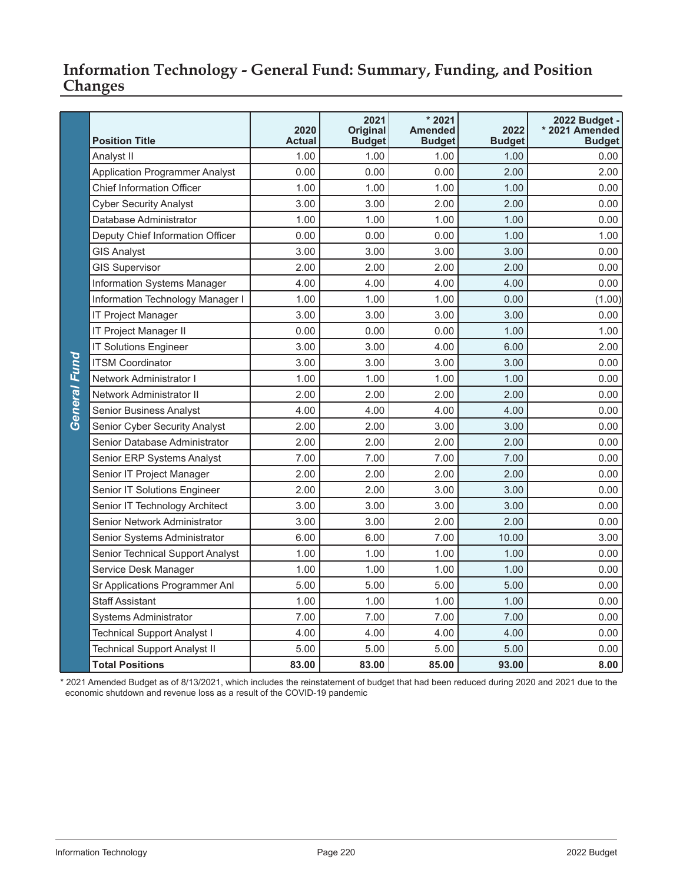#### Information Technology - General Fund: Summary, Funding, and Position Changes

|              | <b>Position Title</b>                 | 2020<br><b>Actual</b> | 2021<br>Original<br><b>Budget</b> | $*2021$<br><b>Amended</b><br><b>Budget</b> | 2022<br><b>Budget</b> | 2022 Budget -<br>* 2021 Amended<br><b>Budget</b> |
|--------------|---------------------------------------|-----------------------|-----------------------------------|--------------------------------------------|-----------------------|--------------------------------------------------|
|              | Analyst II                            | 1.00                  | 1.00                              | 1.00                                       | 1.00                  | 0.00                                             |
|              | <b>Application Programmer Analyst</b> | 0.00                  | 0.00                              | 0.00                                       | 2.00                  | 2.00                                             |
|              | <b>Chief Information Officer</b>      | 1.00                  | 1.00                              | 1.00                                       | 1.00                  | 0.00                                             |
|              | <b>Cyber Security Analyst</b>         | 3.00                  | 3.00                              | 2.00                                       | 2.00                  | 0.00                                             |
|              | Database Administrator                | 1.00                  | 1.00                              | 1.00                                       | 1.00                  | 0.00                                             |
|              | Deputy Chief Information Officer      | 0.00                  | 0.00                              | 0.00                                       | 1.00                  | 1.00                                             |
|              | <b>GIS Analyst</b>                    | 3.00                  | 3.00                              | 3.00                                       | 3.00                  | 0.00                                             |
|              | <b>GIS Supervisor</b>                 | 2.00                  | 2.00                              | 2.00                                       | 2.00                  | 0.00                                             |
|              | <b>Information Systems Manager</b>    | 4.00                  | 4.00                              | 4.00                                       | 4.00                  | 0.00                                             |
|              | Information Technology Manager I      | 1.00                  | 1.00                              | 1.00                                       | 0.00                  | (1.00)                                           |
|              | <b>IT Project Manager</b>             | 3.00                  | 3.00                              | 3.00                                       | 3.00                  | 0.00                                             |
|              | IT Project Manager II                 | 0.00                  | 0.00                              | 0.00                                       | 1.00                  | 1.00                                             |
|              | <b>IT Solutions Engineer</b>          | 3.00                  | 3.00                              | 4.00                                       | 6.00                  | 2.00                                             |
|              | <b>ITSM Coordinator</b>               | 3.00                  | 3.00                              | 3.00                                       | 3.00                  | 0.00                                             |
| General Fund | Network Administrator I               | 1.00                  | 1.00                              | 1.00                                       | 1.00                  | 0.00                                             |
|              | Network Administrator II              | 2.00                  | 2.00                              | 2.00                                       | 2.00                  | 0.00                                             |
|              | <b>Senior Business Analyst</b>        | 4.00                  | 4.00                              | 4.00                                       | 4.00                  | 0.00                                             |
|              | Senior Cyber Security Analyst         | 2.00                  | 2.00                              | 3.00                                       | 3.00                  | 0.00                                             |
|              | Senior Database Administrator         | 2.00                  | 2.00                              | 2.00                                       | 2.00                  | 0.00                                             |
|              | Senior ERP Systems Analyst            | 7.00                  | 7.00                              | 7.00                                       | 7.00                  | 0.00                                             |
|              | Senior IT Project Manager             | 2.00                  | 2.00                              | 2.00                                       | 2.00                  | 0.00                                             |
|              | Senior IT Solutions Engineer          | 2.00                  | 2.00                              | 3.00                                       | 3.00                  | 0.00                                             |
|              | Senior IT Technology Architect        | 3.00                  | 3.00                              | 3.00                                       | 3.00                  | 0.00                                             |
|              | Senior Network Administrator          | 3.00                  | 3.00                              | 2.00                                       | 2.00                  | 0.00                                             |
|              | Senior Systems Administrator          | 6.00                  | 6.00                              | 7.00                                       | 10.00                 | 3.00                                             |
|              | Senior Technical Support Analyst      | 1.00                  | 1.00                              | 1.00                                       | 1.00                  | 0.00                                             |
|              | Service Desk Manager                  | 1.00                  | 1.00                              | 1.00                                       | 1.00                  | 0.00                                             |
|              | Sr Applications Programmer Anl        | 5.00                  | 5.00                              | 5.00                                       | 5.00                  | 0.00                                             |
|              | <b>Staff Assistant</b>                | 1.00                  | 1.00                              | 1.00                                       | 1.00                  | 0.00                                             |
|              | Systems Administrator                 | 7.00                  | 7.00                              | 7.00                                       | 7.00                  | 0.00                                             |
|              | <b>Technical Support Analyst I</b>    | 4.00                  | 4.00                              | 4.00                                       | 4.00                  | 0.00                                             |
|              | <b>Technical Support Analyst II</b>   | 5.00                  | 5.00                              | 5.00                                       | 5.00                  | 0.00                                             |
|              | <b>Total Positions</b>                | 83.00                 | 83.00                             | 85.00                                      | 93.00                 | 8.00                                             |

\* 2021 Amended Budget as of 8/13/2021, which includes the reinstatement of budget that had been reduced during 2020 and 2021 due to the economic shutdown and revenue loss as a result of the COVID-19 pandemic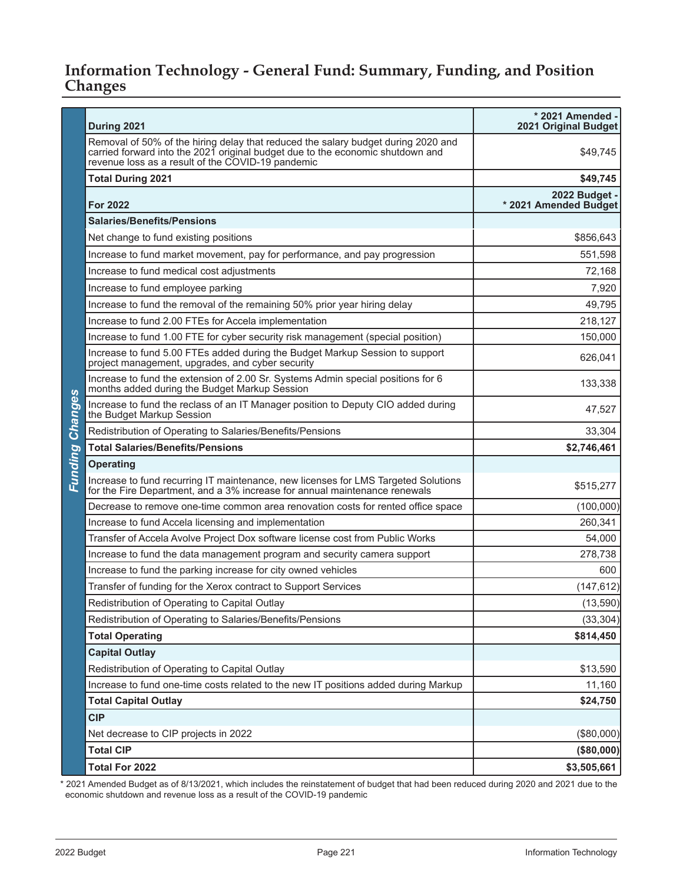#### Information Technology - General Fund: Summary, Funding, and Position Changes

|                 | During 2021                                                                                                                                                                                                              | * 2021 Amended -<br><b>2021 Original Budget</b> |
|-----------------|--------------------------------------------------------------------------------------------------------------------------------------------------------------------------------------------------------------------------|-------------------------------------------------|
|                 | Removal of 50% of the hiring delay that reduced the salary budget during 2020 and<br>carried forward into the 2021 original budget due to the economic shutdown and<br>revenue loss as a result of the COVID-19 pandemic | \$49,745                                        |
|                 | <b>Total During 2021</b>                                                                                                                                                                                                 | \$49,745                                        |
|                 | <b>For 2022</b>                                                                                                                                                                                                          | 2022 Budget -<br>* 2021 Amended Budget          |
|                 | <b>Salaries/Benefits/Pensions</b>                                                                                                                                                                                        |                                                 |
|                 | Net change to fund existing positions                                                                                                                                                                                    | \$856,643                                       |
|                 | Increase to fund market movement, pay for performance, and pay progression                                                                                                                                               | 551,598                                         |
|                 | Increase to fund medical cost adjustments                                                                                                                                                                                | 72,168                                          |
|                 | Increase to fund employee parking                                                                                                                                                                                        | 7,920                                           |
|                 | Increase to fund the removal of the remaining 50% prior year hiring delay                                                                                                                                                | 49,795                                          |
|                 | Increase to fund 2.00 FTEs for Accela implementation                                                                                                                                                                     | 218,127                                         |
|                 | Increase to fund 1.00 FTE for cyber security risk management (special position)                                                                                                                                          | 150,000                                         |
|                 | Increase to fund 5.00 FTEs added during the Budget Markup Session to support<br>project management, upgrades, and cyber security                                                                                         | 626,041                                         |
|                 | Increase to fund the extension of 2.00 Sr. Systems Admin special positions for 6<br>months added during the Budget Markup Session                                                                                        | 133,338                                         |
| Funding Changes | Increase to fund the reclass of an IT Manager position to Deputy CIO added during<br>the Budget Markup Session                                                                                                           | 47,527                                          |
|                 | Redistribution of Operating to Salaries/Benefits/Pensions                                                                                                                                                                | 33,304                                          |
|                 | <b>Total Salaries/Benefits/Pensions</b>                                                                                                                                                                                  | \$2,746,461                                     |
|                 | <b>Operating</b>                                                                                                                                                                                                         |                                                 |
|                 | Increase to fund recurring IT maintenance, new licenses for LMS Targeted Solutions<br>for the Fire Department, and a 3% increase for annual maintenance renewals                                                         | \$515,277                                       |
|                 | Decrease to remove one-time common area renovation costs for rented office space                                                                                                                                         | (100,000)                                       |
|                 | Increase to fund Accela licensing and implementation                                                                                                                                                                     |                                                 |
|                 |                                                                                                                                                                                                                          | 260,341                                         |
|                 | Transfer of Accela Avolve Project Dox software license cost from Public Works                                                                                                                                            | 54,000                                          |
|                 | Increase to fund the data management program and security camera support                                                                                                                                                 | 278.738                                         |
|                 | Increase to fund the parking increase for city owned vehicles                                                                                                                                                            | 600                                             |
|                 | Transfer of funding for the Xerox contract to Support Services                                                                                                                                                           | (147, 612)                                      |
|                 | Redistribution of Operating to Capital Outlay                                                                                                                                                                            |                                                 |
|                 | Redistribution of Operating to Salaries/Benefits/Pensions                                                                                                                                                                | (13,590)<br>(33, 304)                           |
|                 | <b>Total Operating</b>                                                                                                                                                                                                   | \$814,450                                       |
|                 | <b>Capital Outlay</b>                                                                                                                                                                                                    |                                                 |
|                 | Redistribution of Operating to Capital Outlay                                                                                                                                                                            | \$13,590                                        |
|                 | Increase to fund one-time costs related to the new IT positions added during Markup                                                                                                                                      | 11,160                                          |
|                 | <b>Total Capital Outlay</b>                                                                                                                                                                                              | \$24,750                                        |
|                 | <b>CIP</b>                                                                                                                                                                                                               |                                                 |
|                 | Net decrease to CIP projects in 2022                                                                                                                                                                                     | (\$80,000)                                      |
|                 | <b>Total CIP</b>                                                                                                                                                                                                         | (\$80,000)                                      |

\* 2021 Amended Budget as of 8/13/2021, which includes the reinstatement of budget that had been reduced during 2020 and 2021 due to the<br>economic shutdown and revenue loss as a result of the COVID-19 pandemic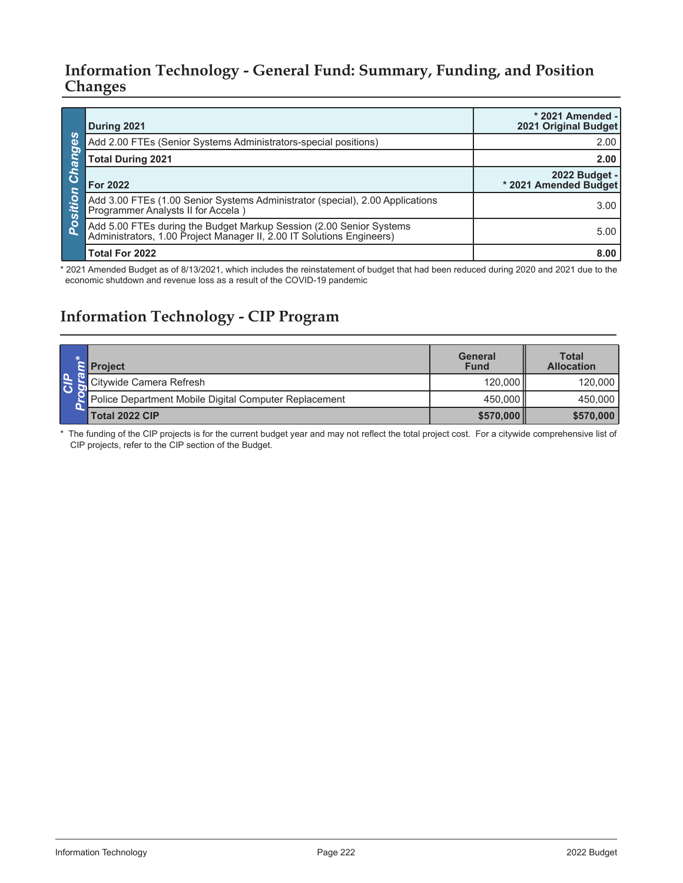#### Information Technology - General Fund: Summary, Funding, and Position **Changes**

| Səl                 | During 2021                                                                                                                               | * 2021 Amended -<br>2021 Original Budget |
|---------------------|-------------------------------------------------------------------------------------------------------------------------------------------|------------------------------------------|
|                     | Add 2.00 FTEs (Senior Systems Administrators-special positions)                                                                           | 2.00                                     |
| o<br>$\overline{a}$ | <b>Total During 2021</b>                                                                                                                  | 2.00                                     |
| ာ<br>Position       | <b>For 2022</b>                                                                                                                           | 2022 Budget -<br>* 2021 Amended Budget   |
|                     | Add 3.00 FTEs (1.00 Senior Systems Administrator (special), 2.00 Applications<br>Programmer Analysts II for Accela)                       | 3.00                                     |
|                     | Add 5.00 FTEs during the Budget Markup Session (2.00 Senior Systems Administrators, 1.00 Project Manager II, 2.00 IT Solutions Engineers) | 5.00                                     |
|                     | <b>Total For 2022</b>                                                                                                                     | 8.00                                     |

\* 2021 Amended Budget as of 8/13/2021, which includes the reinstatement of budget that had been reduced during 2020 and 2021 due to the economic shutdown and revenue loss as a result of the COVID-19 pandemic

#### **Information Technology - CIP Program**

| ×<br><b>GIP</b> | <b>Project</b>                                        | General<br><b>Fund</b> | <b>Total</b><br><b>Allocation</b> |
|-----------------|-------------------------------------------------------|------------------------|-----------------------------------|
|                 | Citywide Camera Refresh                               | $120.000$ II           | 120,000                           |
|                 | Police Department Mobile Digital Computer Replacement | 450,000 ll             | 450,000                           |
|                 | Total 2022 CIP                                        | \$570,000              | \$570,000                         |

\* The funding of the CIP projects is for the current budget year and may not reflect the total project cost. For a citywide comprehensive list of CIP projects, refer to the CIP section of the Budget.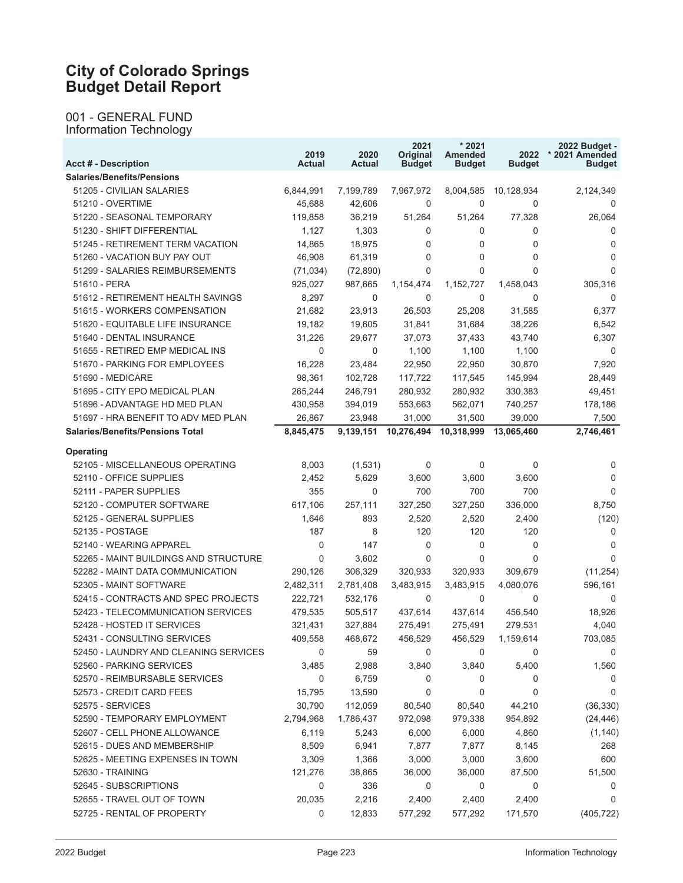# **City of Colorado Springs<br>Budget Detail Report**

### 001 - GENERAL FUND<br>Information Technology

| <b>Acct # - Description</b>             | 2019<br><b>Actual</b> | 2020<br><b>Actual</b> | 2021<br>Original<br><b>Budget</b> | $*2021$<br><b>Amended</b><br><b>Budget</b> | 2022<br><b>Budget</b> | 2022 Budget -<br>* 2021 Amended<br><b>Budget</b> |
|-----------------------------------------|-----------------------|-----------------------|-----------------------------------|--------------------------------------------|-----------------------|--------------------------------------------------|
| <b>Salaries/Benefits/Pensions</b>       |                       |                       |                                   |                                            |                       |                                                  |
| 51205 - CIVILIAN SALARIES               | 6,844,991             | 7,199,789             | 7,967,972                         | 8,004,585                                  | 10,128,934            | 2,124,349                                        |
| 51210 - OVERTIME                        | 45.688                | 42,606                | 0                                 | $\mathbf 0$                                | 0                     | 0                                                |
| 51220 - SEASONAL TEMPORARY              | 119,858               | 36,219                | 51,264                            | 51,264                                     | 77,328                | 26,064                                           |
| 51230 - SHIFT DIFFERENTIAL              | 1,127                 | 1,303                 | 0                                 | 0                                          | 0                     | 0                                                |
| 51245 - RETIREMENT TERM VACATION        | 14,865                | 18,975                | 0                                 | $\Omega$                                   | $\mathbf{0}$          | $\mathbf 0$                                      |
| 51260 - VACATION BUY PAY OUT            | 46,908                | 61,319                | 0                                 | 0                                          | $\mathbf{0}$          | $\mathbf 0$                                      |
| 51299 - SALARIES REIMBURSEMENTS         | (71, 034)             | (72, 890)             | 0                                 | $\mathbf 0$                                | $\Omega$              | $\mathbf 0$                                      |
| 51610 - PERA                            | 925,027               | 987,665               | 1,154,474                         | 1,152,727                                  | 1,458,043             | 305,316                                          |
| 51612 - RETIREMENT HEALTH SAVINGS       | 8,297                 | 0                     | 0                                 | $\mathbf 0$                                | $\mathbf 0$           | 0                                                |
| 51615 - WORKERS COMPENSATION            | 21,682                | 23,913                | 26,503                            | 25,208                                     | 31,585                | 6,377                                            |
| 51620 - EQUITABLE LIFE INSURANCE        | 19,182                | 19,605                | 31,841                            | 31,684                                     | 38,226                | 6,542                                            |
| 51640 - DENTAL INSURANCE                | 31,226                | 29,677                | 37,073                            | 37,433                                     | 43,740                | 6,307                                            |
| 51655 - RETIRED EMP MEDICAL INS         | $\mathbf 0$           | 0                     | 1,100                             | 1,100                                      | 1,100                 | $\mathbf 0$                                      |
| 51670 - PARKING FOR EMPLOYEES           | 16,228                | 23,484                | 22,950                            | 22,950                                     | 30,870                | 7,920                                            |
| 51690 - MEDICARE                        | 98,361                | 102,728               | 117,722                           | 117,545                                    | 145,994               | 28,449                                           |
| 51695 - CITY EPO MEDICAL PLAN           | 265,244               | 246,791               | 280,932                           | 280,932                                    | 330,383               | 49,451                                           |
| 51696 - ADVANTAGE HD MED PLAN           | 430,958               | 394,019               | 553,663                           | 562,071                                    | 740,257               | 178,186                                          |
| 51697 - HRA BENEFIT TO ADV MED PLAN     | 26,867                | 23,948                | 31,000                            | 31,500                                     | 39,000                | 7,500                                            |
| <b>Salaries/Benefits/Pensions Total</b> | 8,845,475             | 9,139,151             | 10,276,494                        | 10,318,999                                 | 13,065,460            | 2,746,461                                        |
| Operating                               |                       |                       |                                   |                                            |                       |                                                  |
| 52105 - MISCELLANEOUS OPERATING         | 8,003                 | (1,531)               | 0                                 | $\mathbf 0$                                | $\mathbf 0$           | 0                                                |
| 52110 - OFFICE SUPPLIES                 | 2,452                 | 5,629                 | 3,600                             | 3,600                                      | 3,600                 | 0                                                |
| 52111 - PAPER SUPPLIES                  | 355                   | 0                     | 700                               | 700                                        | 700                   | $\Omega$                                         |
| 52120 - COMPUTER SOFTWARE               | 617,106               | 257,111               | 327,250                           | 327,250                                    | 336,000               | 8,750                                            |
| 52125 - GENERAL SUPPLIES                | 1,646                 | 893                   | 2,520                             | 2,520                                      | 2,400                 | (120)                                            |
| 52135 - POSTAGE                         | 187                   | 8                     | 120                               | 120                                        | 120                   | 0                                                |
| 52140 - WEARING APPAREL                 | $\mathbf 0$           | 147                   | 0                                 | 0                                          | 0                     | 0                                                |
| 52265 - MAINT BUILDINGS AND STRUCTURE   | 0                     | 3,602                 | 0                                 | $\mathbf 0$                                | $\mathbf{0}$          | $\mathbf 0$                                      |
| 52282 - MAINT DATA COMMUNICATION        | 290,126               | 306,329               | 320,933                           | 320,933                                    | 309,679               | (11, 254)                                        |
| 52305 - MAINT SOFTWARE                  | 2,482,311             | 2,781,408             | 3,483,915                         | 3,483,915                                  | 4,080,076             | 596,161                                          |
| 52415 - CONTRACTS AND SPEC PROJECTS     | 222,721               | 532,176               | 0                                 | 0                                          | $\mathbf 0$           | 0                                                |
| 52423 - TELECOMMUNICATION SERVICES      | 479,535               | 505,517               | 437,614                           | 437,614                                    | 456,540               | 18,926                                           |
| 52428 - HOSTED IT SERVICES              | 321,431               | 327,884               | 275,491                           | 275,491                                    | 279,531               | 4,040                                            |
| 52431 - CONSULTING SERVICES             | 409,558               | 468,672               | 456,529                           | 456,529                                    | 1,159,614             | 703,085                                          |
| 52450 - LAUNDRY AND CLEANING SERVICES   | 0                     | 59                    | 0                                 | 0                                          | 0                     | 0                                                |
| 52560 - PARKING SERVICES                | 3,485                 | 2,988                 | 3,840                             | 3,840                                      | 5,400                 | 1,560                                            |
| 52570 - REIMBURSABLE SERVICES           | 0                     | 6,759                 | 0                                 | 0                                          | 0                     | 0                                                |
| 52573 - CREDIT CARD FEES                | 15,795                | 13,590                | $\mathbf 0$                       | $\mathbf 0$                                | $\mathbf 0$           | 0                                                |
| 52575 - SERVICES                        | 30,790                | 112,059               | 80,540                            | 80,540                                     | 44,210                | (36, 330)                                        |
| 52590 - TEMPORARY EMPLOYMENT            | 2,794,968             | 1,786,437             | 972,098                           | 979,338                                    | 954,892               | (24, 446)                                        |
| 52607 - CELL PHONE ALLOWANCE            | 6,119                 | 5,243                 | 6,000                             | 6,000                                      | 4,860                 | (1, 140)                                         |
| 52615 - DUES AND MEMBERSHIP             | 8,509                 | 6,941                 | 7,877                             | 7,877                                      | 8,145                 | 268                                              |
| 52625 - MEETING EXPENSES IN TOWN        | 3,309                 | 1,366                 | 3,000                             | 3,000                                      | 3,600                 | 600                                              |
| 52630 - TRAINING                        | 121,276               | 38,865                | 36,000                            | 36,000                                     | 87,500                | 51,500                                           |
| 52645 - SUBSCRIPTIONS                   | 0                     | 336                   | 0                                 | 0                                          | 0                     | 0                                                |
| 52655 - TRAVEL OUT OF TOWN              | 20,035                | 2,216                 | 2,400                             | 2,400                                      | 2,400                 | 0                                                |
| 52725 - RENTAL OF PROPERTY              | 0                     | 12,833                | 577,292                           | 577,292                                    | 171,570               | (405, 722)                                       |